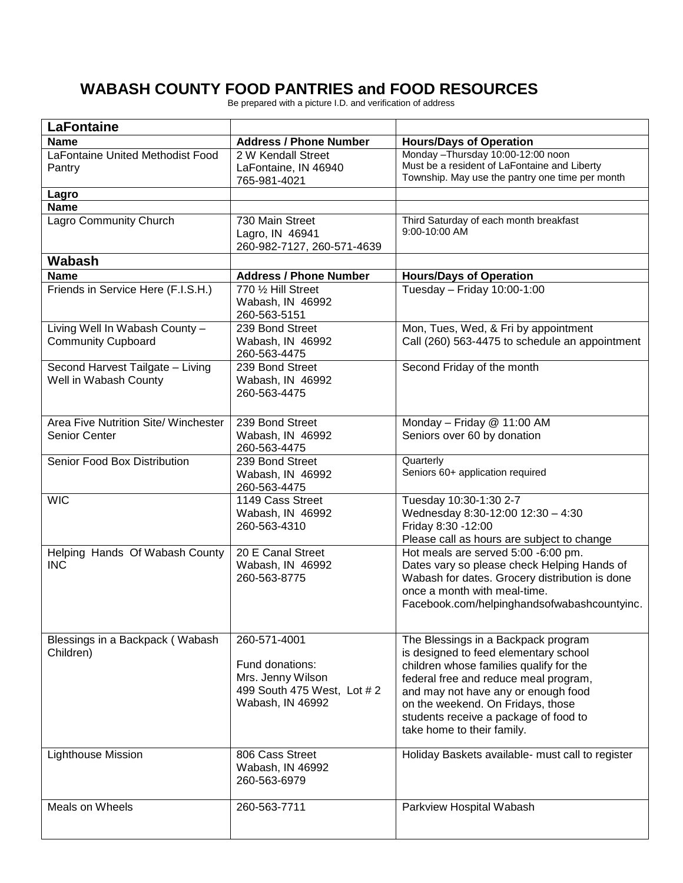## **WABASH COUNTY FOOD PANTRIES and FOOD RESOURCES**

Be prepared with a picture I.D. and verification of address

| <b>LaFontaine</b>                                            |                                                                                                        |                                                                                                                                                                                                                                                                                                                     |
|--------------------------------------------------------------|--------------------------------------------------------------------------------------------------------|---------------------------------------------------------------------------------------------------------------------------------------------------------------------------------------------------------------------------------------------------------------------------------------------------------------------|
| <b>Name</b>                                                  | <b>Address / Phone Number</b>                                                                          | <b>Hours/Days of Operation</b>                                                                                                                                                                                                                                                                                      |
| LaFontaine United Methodist Food<br>Pantry                   | 2 W Kendall Street<br>LaFontaine, IN 46940<br>765-981-4021                                             | Monday - Thursday 10:00-12:00 noon<br>Must be a resident of LaFontaine and Liberty<br>Township. May use the pantry one time per month                                                                                                                                                                               |
| Lagro                                                        |                                                                                                        |                                                                                                                                                                                                                                                                                                                     |
| <b>Name</b>                                                  |                                                                                                        |                                                                                                                                                                                                                                                                                                                     |
| <b>Lagro Community Church</b>                                | 730 Main Street<br>Lagro, IN 46941<br>260-982-7127, 260-571-4639                                       | Third Saturday of each month breakfast<br>9:00-10:00 AM                                                                                                                                                                                                                                                             |
| <b>Wabash</b>                                                |                                                                                                        |                                                                                                                                                                                                                                                                                                                     |
| <b>Name</b>                                                  | <b>Address / Phone Number</b>                                                                          | <b>Hours/Days of Operation</b>                                                                                                                                                                                                                                                                                      |
| Friends in Service Here (F.I.S.H.)                           | 770 1/2 Hill Street<br>Wabash, IN 46992<br>260-563-5151                                                | Tuesday - Friday 10:00-1:00                                                                                                                                                                                                                                                                                         |
| Living Well In Wabash County -<br><b>Community Cupboard</b>  | 239 Bond Street<br>Wabash, IN 46992<br>260-563-4475                                                    | Mon, Tues, Wed, & Fri by appointment<br>Call (260) 563-4475 to schedule an appointment                                                                                                                                                                                                                              |
| Second Harvest Tailgate - Living<br>Well in Wabash County    | 239 Bond Street<br>Wabash, IN 46992<br>260-563-4475                                                    | Second Friday of the month                                                                                                                                                                                                                                                                                          |
| Area Five Nutrition Site/ Winchester<br><b>Senior Center</b> | 239 Bond Street<br>Wabash, IN 46992<br>260-563-4475                                                    | Monday - Friday @ 11:00 AM<br>Seniors over 60 by donation                                                                                                                                                                                                                                                           |
| Senior Food Box Distribution                                 | 239 Bond Street<br>Wabash, IN 46992<br>260-563-4475                                                    | Quarterly<br>Seniors 60+ application required                                                                                                                                                                                                                                                                       |
| <b>WIC</b>                                                   | 1149 Cass Street<br>Wabash, IN 46992<br>260-563-4310                                                   | Tuesday 10:30-1:30 2-7<br>Wednesday 8:30-12:00 12:30 - 4:30<br>Friday 8:30 - 12:00<br>Please call as hours are subject to change                                                                                                                                                                                    |
| Helping Hands Of Wabash County<br><b>INC</b>                 | 20 E Canal Street<br>Wabash, IN 46992<br>260-563-8775                                                  | Hot meals are served 5:00 -6:00 pm.<br>Dates vary so please check Helping Hands of<br>Wabash for dates. Grocery distribution is done<br>once a month with meal-time.<br>Facebook.com/helpinghandsofwabashcountyinc.                                                                                                 |
| Blessings in a Backpack (Wabash<br>Children)                 | 260-571-4001<br>Fund donations:<br>Mrs. Jenny Wilson<br>499 South 475 West, Lot #2<br>Wabash, IN 46992 | The Blessings in a Backpack program<br>is designed to feed elementary school<br>children whose families qualify for the<br>federal free and reduce meal program,<br>and may not have any or enough food<br>on the weekend. On Fridays, those<br>students receive a package of food to<br>take home to their family. |
| <b>Lighthouse Mission</b>                                    | 806 Cass Street<br>Wabash, IN 46992<br>260-563-6979                                                    | Holiday Baskets available- must call to register                                                                                                                                                                                                                                                                    |
| Meals on Wheels                                              | 260-563-7711                                                                                           | Parkview Hospital Wabash                                                                                                                                                                                                                                                                                            |